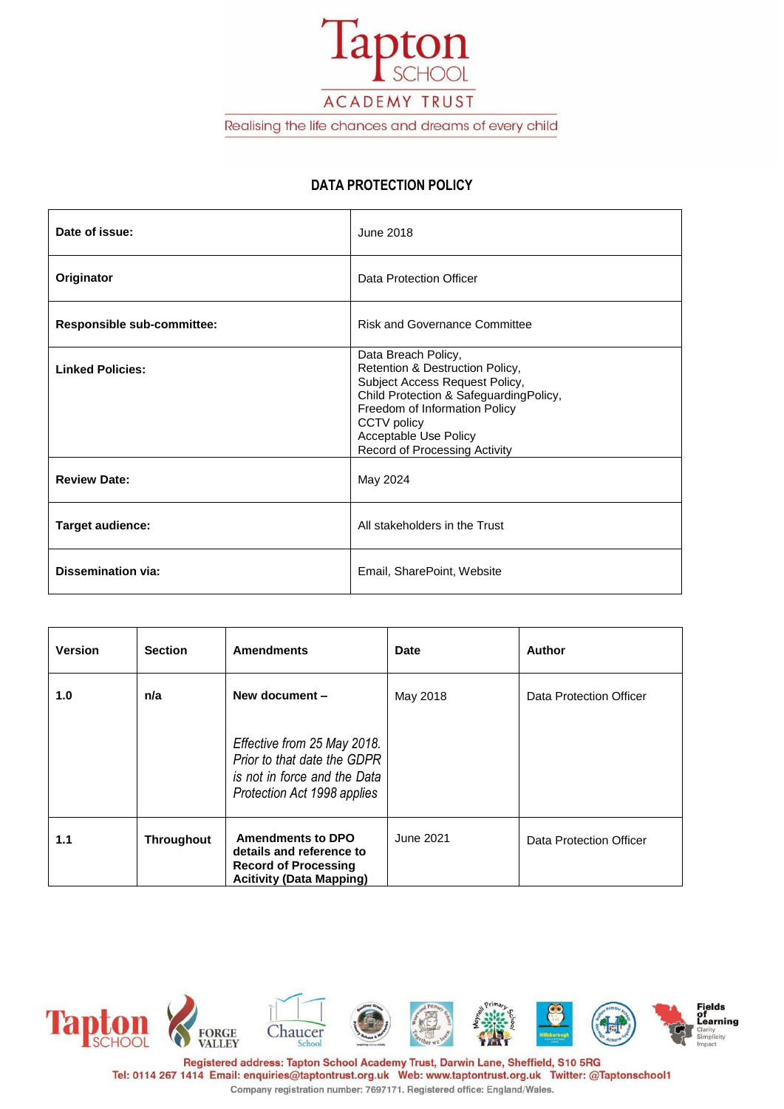

ACADEMY TRUST

Realising the life chances and dreams of every child

## **DATA PROTECTION POLICY**

| Date of issue:             | June 2018                                                                                                                                                                                                                                    |
|----------------------------|----------------------------------------------------------------------------------------------------------------------------------------------------------------------------------------------------------------------------------------------|
| Originator                 | Data Protection Officer                                                                                                                                                                                                                      |
| Responsible sub-committee: | <b>Risk and Governance Committee</b>                                                                                                                                                                                                         |
| <b>Linked Policies:</b>    | Data Breach Policy,<br>Retention & Destruction Policy,<br>Subject Access Request Policy,<br>Child Protection & SafeguardingPolicy,<br>Freedom of Information Policy<br>CCTV policy<br>Acceptable Use Policy<br>Record of Processing Activity |
| <b>Review Date:</b>        | May 2024                                                                                                                                                                                                                                     |
| <b>Target audience:</b>    | All stakeholders in the Trust                                                                                                                                                                                                                |
| <b>Dissemination via:</b>  | Email, SharePoint, Website                                                                                                                                                                                                                   |

| <b>Version</b> | <b>Section</b>    | <b>Amendments</b>                                                                                                         | <b>Date</b> | <b>Author</b>           |
|----------------|-------------------|---------------------------------------------------------------------------------------------------------------------------|-------------|-------------------------|
| 1.0            | n/a               | New document -                                                                                                            | May 2018    | Data Protection Officer |
|                |                   | Effective from 25 May 2018.<br>Prior to that date the GDPR<br>is not in force and the Data<br>Protection Act 1998 applies |             |                         |
| 1.1            | <b>Throughout</b> | <b>Amendments to DPO</b><br>details and reference to<br><b>Record of Processing</b><br><b>Acitivity (Data Mapping)</b>    | June 2021   | Data Protection Officer |

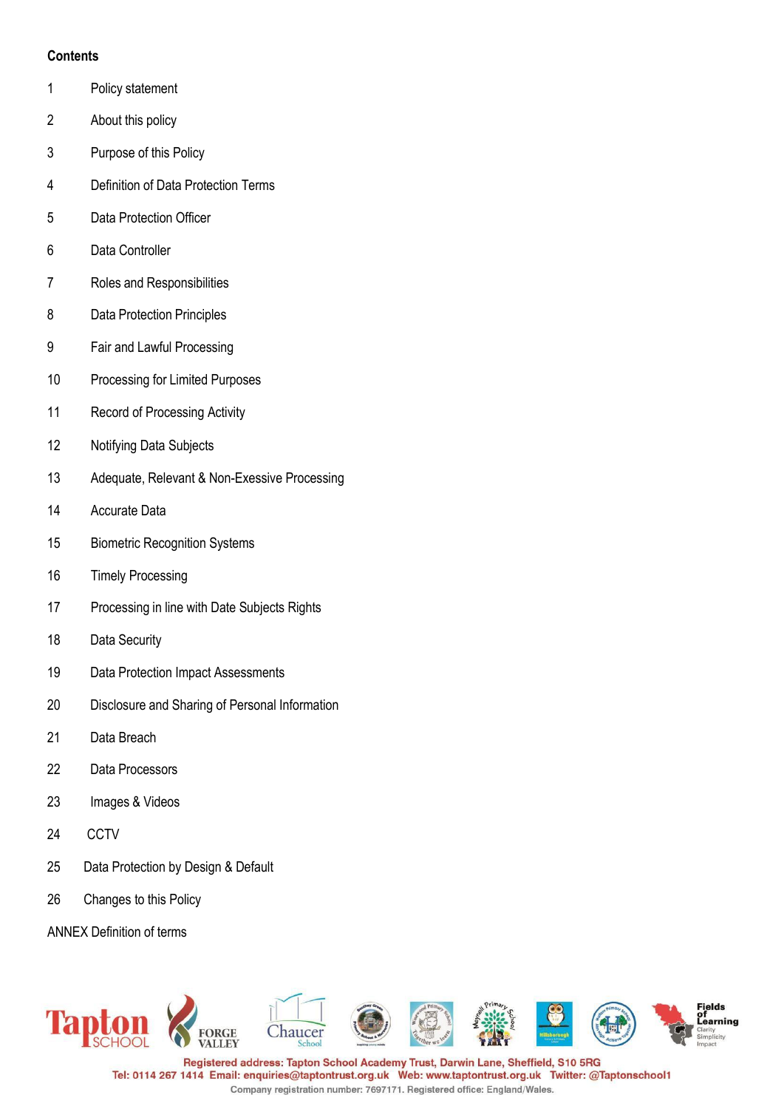## **Contents**

- Policy statement
- About this policy
- Purpose of this Policy
- Definition of Data Protection Terms
- Data Protection Officer
- Data Controller
- Roles and Responsibilities
- Data Protection Principles
- Fair and Lawful Processing
- Processing for Limited Purposes
- Record of Processing Activity
- Notifying Data Subjects
- Adequate, Relevant & Non-Exessive Processing
- Accurate Data
- Biometric Recognition Systems
- Timely Processing
- Processing in line with Date Subjects Rights
- Data Security
- Data Protection Impact Assessments
- Disclosure and Sharing of Personal Information
- Data Breach
- Data Processors
- Images & Videos
- CCTV
- Data Protection by Design & Default
- Changes to this Policy

ANNEX Definition of terms

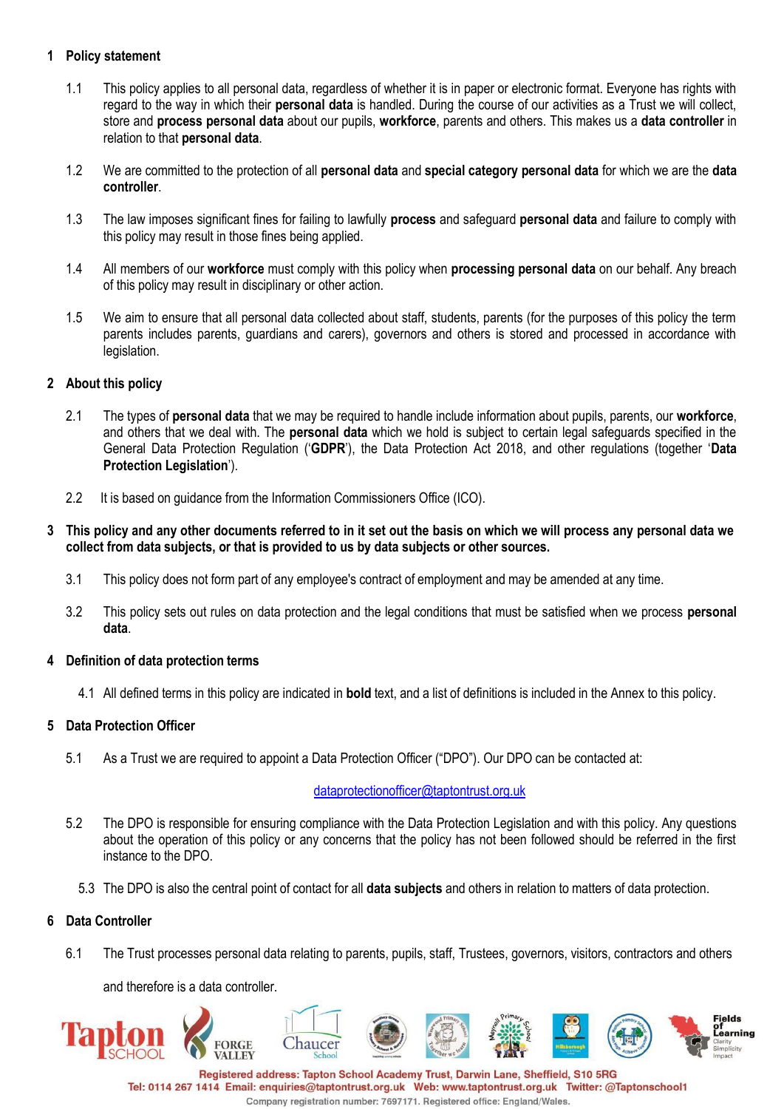## **1 Policy statement**

- 1.1 This policy applies to all personal data, regardless of whether it is in paper or electronic format. Everyone has rights with regard to the way in which their **personal data** is handled. During the course of our activities as a Trust we will collect, store and **process personal data** about our pupils, **workforce**, parents and others. This makes us a **data controller** in relation to that **personal data**.
- 1.2 We are committed to the protection of all **personal data** and **special category personal data** for which we are the **data controller**.
- 1.3 The law imposes significant fines for failing to lawfully **process** and safeguard **personal data** and failure to comply with this policy may result in those fines being applied.
- 1.4 All members of our **workforce** must comply with this policy when **processing personal data** on our behalf. Any breach of this policy may result in disciplinary or other action.
- 1.5 We aim to ensure that all personal data collected about staff, students, parents (for the purposes of this policy the term parents includes parents, guardians and carers), governors and others is stored and processed in accordance with legislation.

## **2 About this policy**

- 2.1 The types of **personal data** that we may be required to handle include information about pupils, parents, our **workforce**, and others that we deal with. The **personal data** which we hold is subject to certain legal safeguards specified in the General Data Protection Regulation ('**GDPR**'), the Data Protection Act 2018, and other regulations (together '**Data Protection Legislation**').
- 2.2 It is based on guidance from the Information Commissioners Office (ICO).

#### 3 This policy and any other documents referred to in it set out the basis on which we will process any personal data we **collect from data subjects, or that is provided to us by data subjects or other sources.**

- 3.1 This policy does not form part of any employee's contract of employment and may be amended at any time.
- 3.2 This policy sets out rules on data protection and the legal conditions that must be satisfied when we process **personal data**.

## **4 Definition of data protection terms**

4.1 All defined terms in this policy are indicated in **bold** text, and a list of definitions is included in the Annex to this policy.

## **5 Data Protection Officer**

5.1 As a Trust we are required to appoint a Data Protection Officer ("DPO"). Our DPO can be contacted at:

## [dataprotectionofficer@taptontrust.org.uk](mailto:dataprotectionofficer@taptontrust.org.uk)

- 5.2 The DPO is responsible for ensuring compliance with the Data Protection Legislation and with this policy. Any questions about the operation of this policy or any concerns that the policy has not been followed should be referred in the first instance to the DPO.
	- 5.3 The DPO is also the central point of contact for all **data subjects** and others in relation to matters of data protection.

## **6 Data Controller**

6.1 The Trust processes personal data relating to parents, pupils, staff, Trustees, governors, visitors, contractors and others

and therefore is a data controller.

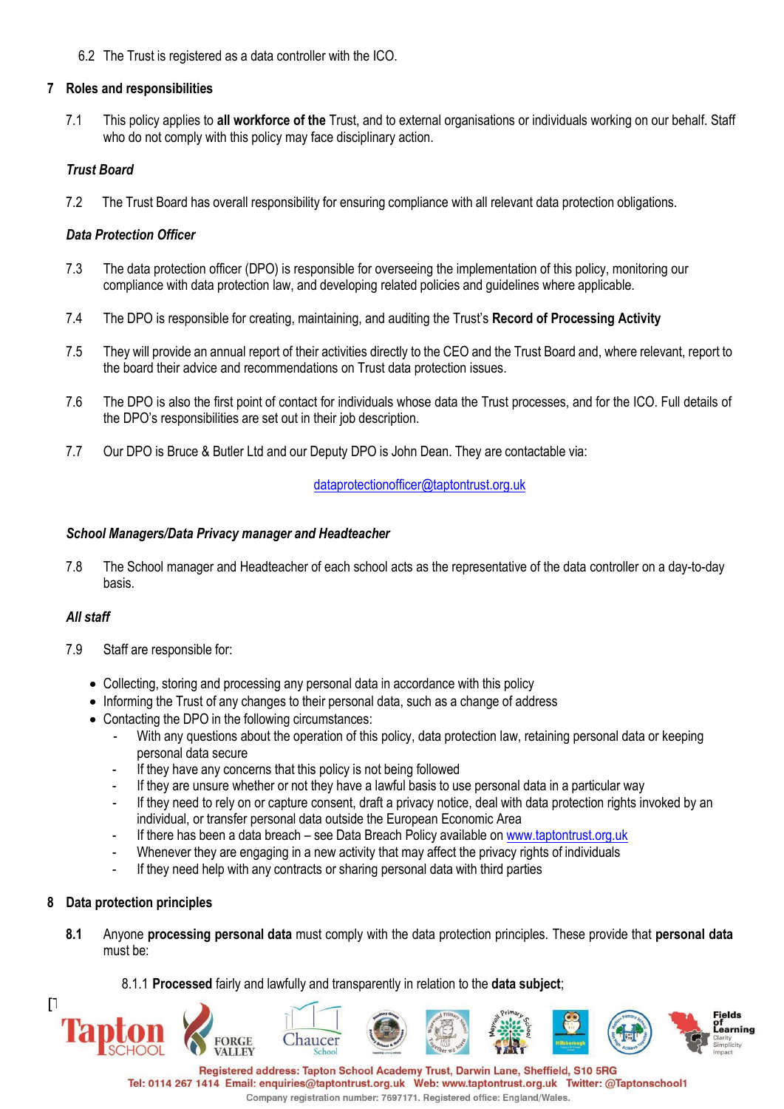6.2 The Trust is registered as a data controller with the ICO.

## **7 Roles and responsibilities**

7.1 This policy applies to **all workforce of the** Trust, and to external organisations or individuals working on our behalf. Staff who do not comply with this policy may face disciplinary action.

# *Trust Board*

7.2 The Trust Board has overall responsibility for ensuring compliance with all relevant data protection obligations.

# *Data Protection Officer*

- 7.3 The data protection officer (DPO) is responsible for overseeing the implementation of this policy, monitoring our compliance with data protection law, and developing related policies and guidelines where applicable.
- 7.4 The DPO is responsible for creating, maintaining, and auditing the Trust's **Record of Processing Activity**
- 7.5 They will provide an annual report of their activities directly to the CEO and the Trust Board and, where relevant, report to the board their advice and recommendations on Trust data protection issues.
- 7.6 The DPO is also the first point of contact for individuals whose data the Trust processes, and for the ICO. Full details of the DPO's responsibilities are set out in their job description.
- 7.7 Our DPO is Bruce & Butler Ltd and our Deputy DPO is John Dean. They are contactable via:

# [dataprotectionofficer@taptontrust.org.uk](mailto:dataprotectionofficer@taptontrust.org.uk)

## *School Managers/Data Privacy manager and Headteacher*

7.8 The School manager and Headteacher of each school acts as the representative of the data controller on a day-to-day basis.

## *All staff*

- 7.9 Staff are responsible for:
	- Collecting, storing and processing any personal data in accordance with this policy
	- Informing the Trust of any changes to their personal data, such as a change of address
	- Contacting the DPO in the following circumstances:

ORGE

- With any questions about the operation of this policy, data protection law, retaining personal data or keeping personal data secure
- If they have any concerns that this policy is not being followed
- If they are unsure whether or not they have a lawful basis to use personal data in a particular way
- If they need to rely on or capture consent, draft a privacy notice, deal with data protection rights invoked by an individual, or transfer personal data outside the European Economic Area
- If there has been a data breach see Data Breach Policy available on [www.taptontrust.org.uk](http://www.taptontrust.org.uk/)
- Whenever they are engaging in a new activity that may affect the privacy rights of individuals
- If they need help with any contracts or sharing personal data with third parties

## **8 Data protection principles**

 $\Gamma$ 

- **8.1** Anyone **processing personal data** must comply with the data protection principles. These provide that **personal data** must be:
	- 8.1.1 **Processed** fairly and lawfully and transparently in relation to the **data subject**;

haucer



Fields<br>of of<br>Learning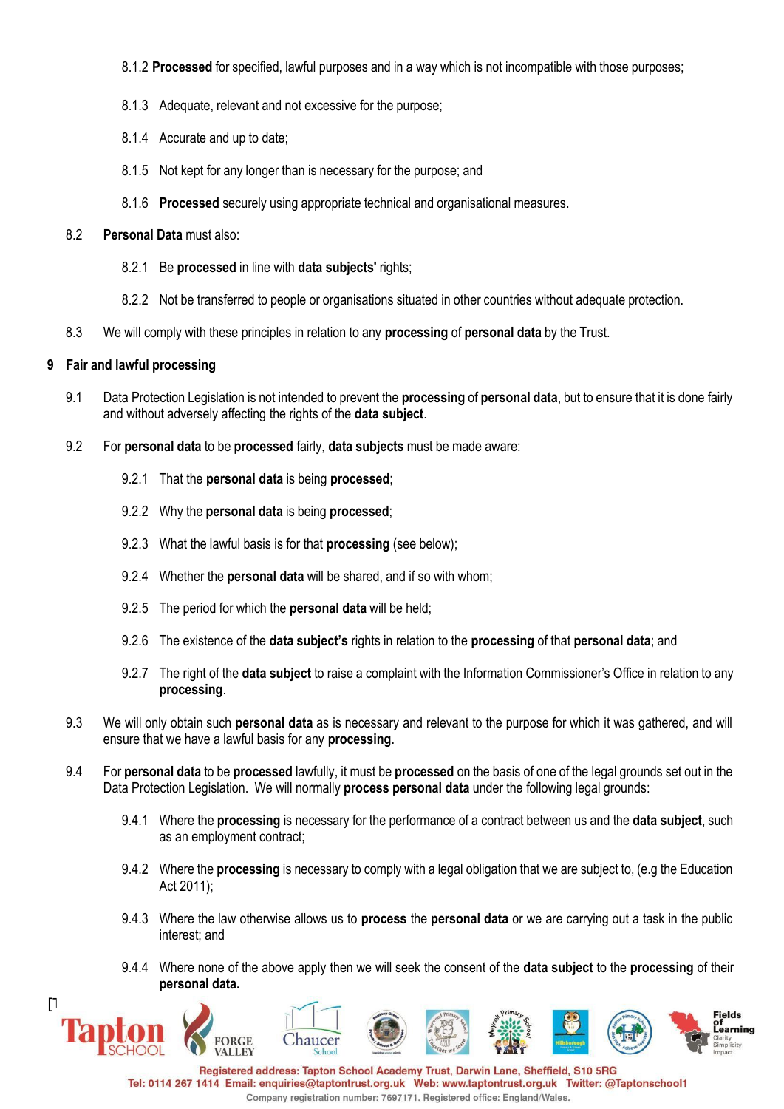- 8.1.2 **Processed** for specified, lawful purposes and in a way which is not incompatible with those purposes;
- 8.1.3 Adequate, relevant and not excessive for the purpose;
- 8.1.4 Accurate and up to date;
- 8.1.5 Not kept for any longer than is necessary for the purpose; and
- 8.1.6 **Processed** securely using appropriate technical and organisational measures.

#### 8.2 **Personal Data** must also:

- 8.2.1 Be **processed** in line with **data subjects'** rights;
- 8.2.2 Not be transferred to people or organisations situated in other countries without adequate protection.
- 8.3 We will comply with these principles in relation to any **processing** of **personal data** by the Trust.

#### **9 Fair and lawful processing**

- 9.1 Data Protection Legislation is not intended to prevent the **processing** of **personal data**, but to ensure that it is done fairly and without adversely affecting the rights of the **data subject**.
- 9.2 For **personal data** to be **processed** fairly, **data subjects** must be made aware:
	- 9.2.1 That the **personal data** is being **processed**;
	- 9.2.2 Why the **personal data** is being **processed**;
	- 9.2.3 What the lawful basis is for that **processing** (see below);
	- 9.2.4 Whether the **personal data** will be shared, and if so with whom;
	- 9.2.5 The period for which the **personal data** will be held;
	- 9.2.6 The existence of the **data subject's** rights in relation to the **processing** of that **personal data**; and
	- 9.2.7 The right of the **data subject** to raise a complaint with the Information Commissioner's Office in relation to any **processing**.
- 9.3 We will only obtain such **personal data** as is necessary and relevant to the purpose for which it was gathered, and will ensure that we have a lawful basis for any **processing**.
- 9.4 For **personal data** to be **processed** lawfully, it must be **processed** on the basis of one of the legal grounds set out in the Data Protection Legislation. We will normally **process personal data** under the following legal grounds:
	- 9.4.1 Where the **processing** is necessary for the performance of a contract between us and the **data subject**, such as an employment contract;
	- 9.4.2 Where the **processing** is necessary to comply with a legal obligation that we are subject to, (e.g the Education Act 2011);
	- 9.4.3 Where the law otherwise allows us to **process** the **personal data** or we are carrying out a task in the public interest; and
	- 9.4.4 Where none of the above apply then we will seek the consent of the **data subject** to the **processing** of their **personal data.**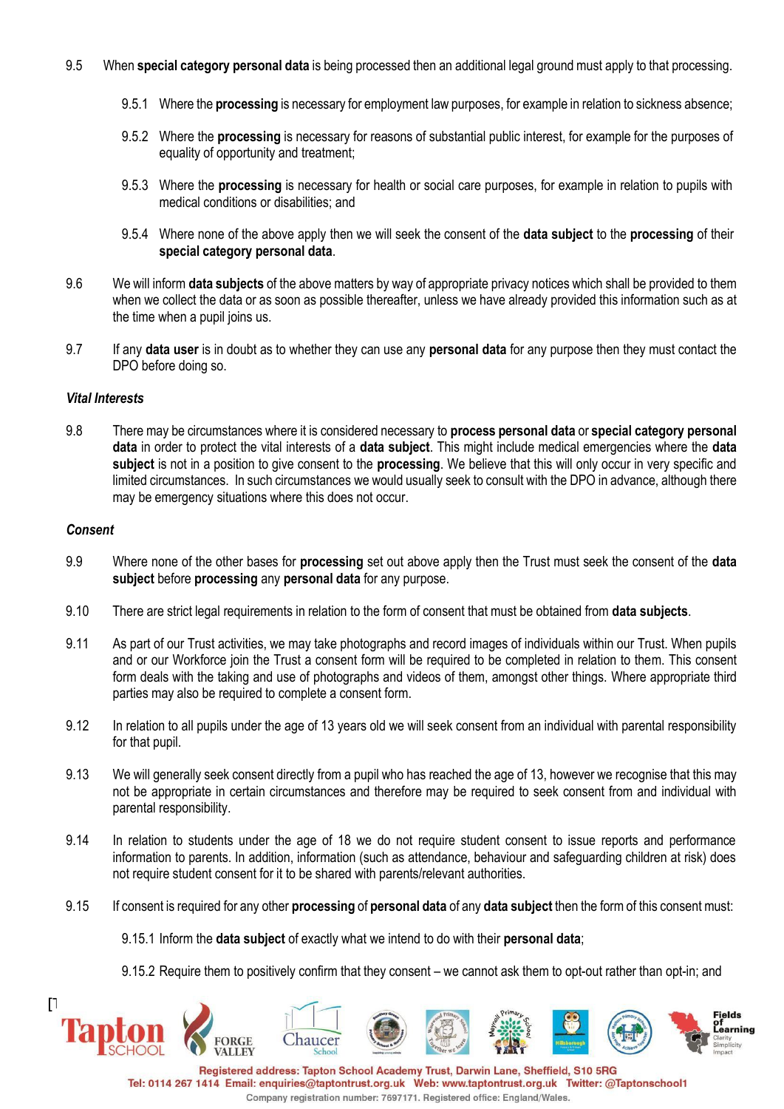- 9.5 When **special category personal data** is being processed then an additional legal ground must apply to that processing.
	- 9.5.1 Where the **processing** is necessary for employment law purposes, for example in relation to sickness absence;
	- 9.5.2 Where the **processing** is necessary for reasons of substantial public interest, for example for the purposes of equality of opportunity and treatment;
	- 9.5.3 Where the **processing** is necessary for health or social care purposes, for example in relation to pupils with medical conditions or disabilities; and
	- 9.5.4 Where none of the above apply then we will seek the consent of the **data subject** to the **processing** of their **special category personal data**.
- 9.6 We will inform **data subjects** of the above matters by way of appropriate privacy notices which shall be provided to them when we collect the data or as soon as possible thereafter, unless we have already provided this information such as at the time when a pupil joins us.
- 9.7 If any **data user** is in doubt as to whether they can use any **personal data** for any purpose then they must contact the DPO before doing so.

#### *Vital Interests*

9.8 There may be circumstances where it is considered necessary to **process personal data** or **special category personal data** in order to protect the vital interests of a **data subject**. This might include medical emergencies where the **data subject** is not in a position to give consent to the **processing**. We believe that this will only occur in very specific and limited circumstances. In such circumstances we would usually seek to consult with the DPO in advance, although there may be emergency situations where this does not occur.

#### *Consent*

- 9.9 Where none of the other bases for **processing** set out above apply then the Trust must seek the consent of the **data subject** before **processing** any **personal data** for any purpose.
- 9.10 There are strict legal requirements in relation to the form of consent that must be obtained from **data subjects**.
- 9.11 As part of our Trust activities, we may take photographs and record images of individuals within our Trust. When pupils and or our Workforce join the Trust a consent form will be required to be completed in relation to them. This consent form deals with the taking and use of photographs and videos of them, amongst other things. Where appropriate third parties may also be required to complete a consent form.
- 9.12 In relation to all pupils under the age of 13 years old we will seek consent from an individual with parental responsibility for that pupil.
- 9.13 We will generally seek consent directly from a pupil who has reached the age of 13, however we recognise that this may not be appropriate in certain circumstances and therefore may be required to seek consent from and individual with parental responsibility.
- 9.14 In relation to students under the age of 18 we do not require student consent to issue reports and performance information to parents. In addition, information (such as attendance, behaviour and safeguarding children at risk) does not require student consent for it to be shared with parents/relevant authorities.
- 9.15 If consent is required for any other **processing** of **personal data** of any **data subject** then the form of this consent must:
	- 9.15.1 Inform the **data subject** of exactly what we intend to do with their **personal data**;
	- 9.15.2 Require them to positively confirm that they consent we cannot ask them to opt-out rather than opt-in; and

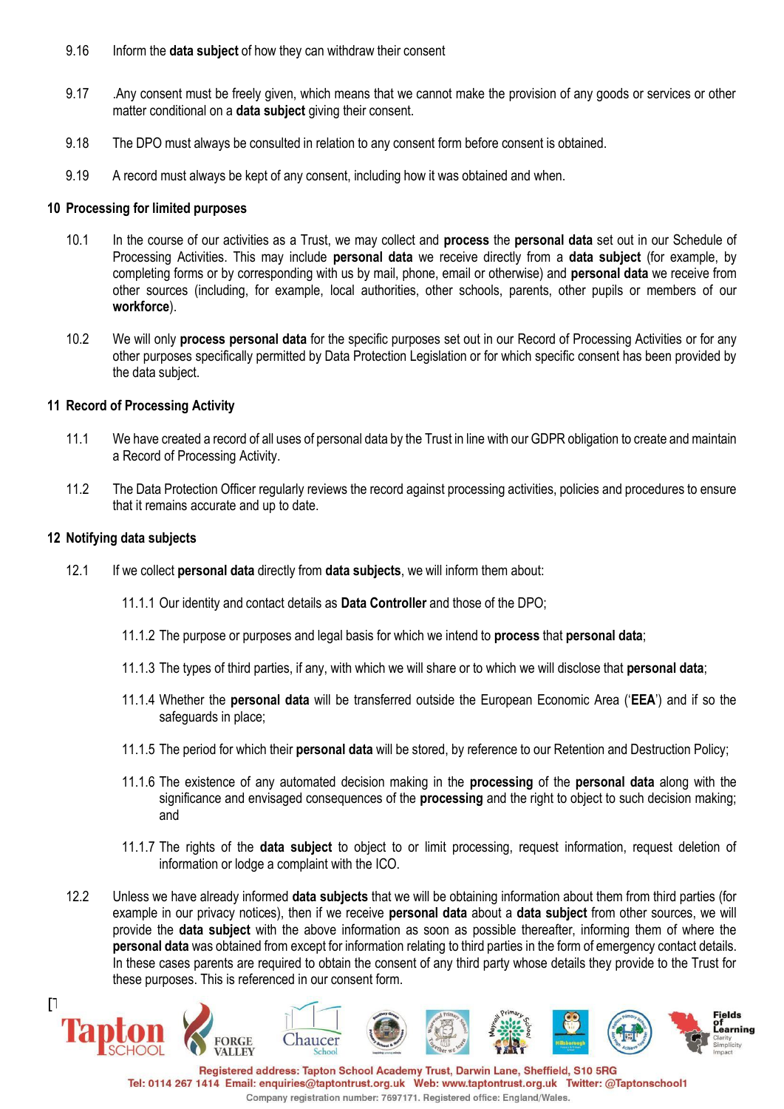- 9.16 Inform the **data subject** of how they can withdraw their consent
- 9.17 . Any consent must be freely given, which means that we cannot make the provision of any goods or services or other matter conditional on a **data subject** giving their consent.
- 9.18 The DPO must always be consulted in relation to any consent form before consent is obtained.
- 9.19 A record must always be kept of any consent, including how it was obtained and when.

#### **10 Processing for limited purposes**

- 10.1 In the course of our activities as a Trust, we may collect and **process** the **personal data** set out in our Schedule of Processing Activities. This may include **personal data** we receive directly from a **data subject** (for example, by completing forms or by corresponding with us by mail, phone, email or otherwise) and **personal data** we receive from other sources (including, for example, local authorities, other schools, parents, other pupils or members of our **workforce**).
- 10.2 We will only **process personal data** for the specific purposes set out in our Record of Processing Activities or for any other purposes specifically permitted by Data Protection Legislation or for which specific consent has been provided by the data subject.

#### **11 Record of Processing Activity**

- 11.1 We have created a record of all uses of personal data by the Trust in line with our GDPR obligation to create and maintain a Record of Processing Activity.
- 11.2 The Data Protection Officer regularly reviews the record against processing activities, policies and procedures to ensure that it remains accurate and up to date.

#### **12 Notifying data subjects**

- 12.1 If we collect **personal data** directly from **data subjects**, we will inform them about:
	- 11.1.1 Our identity and contact details as **Data Controller** and those of the DPO;
	- 11.1.2 The purpose or purposes and legal basis for which we intend to **process** that **personal data**;
	- 11.1.3 The types of third parties, if any, with which we will share or to which we will disclose that **personal data**;
	- 11.1.4 Whether the **personal data** will be transferred outside the European Economic Area ('**EEA**') and if so the safeguards in place;
	- 11.1.5 The period for which their **personal data** will be stored, by reference to our Retention and Destruction Policy;
	- 11.1.6 The existence of any automated decision making in the **processing** of the **personal data** along with the significance and envisaged consequences of the **processing** and the right to object to such decision making; and
	- 11.1.7 The rights of the **data subject** to object to or limit processing, request information, request deletion of information or lodge a complaint with the ICO.
- 12.2 Unless we have already informed **data subjects** that we will be obtaining information about them from third parties (for example in our privacy notices), then if we receive **personal data** about a **data subject** from other sources, we will provide the **data subject** with the above information as soon as possible thereafter, informing them of where the **personal data** was obtained from except for information relating to third parties in the form of emergency contact details. In these cases parents are required to obtain the consent of any third party whose details they provide to the Trust for these purposes. This is referenced in our consent form.

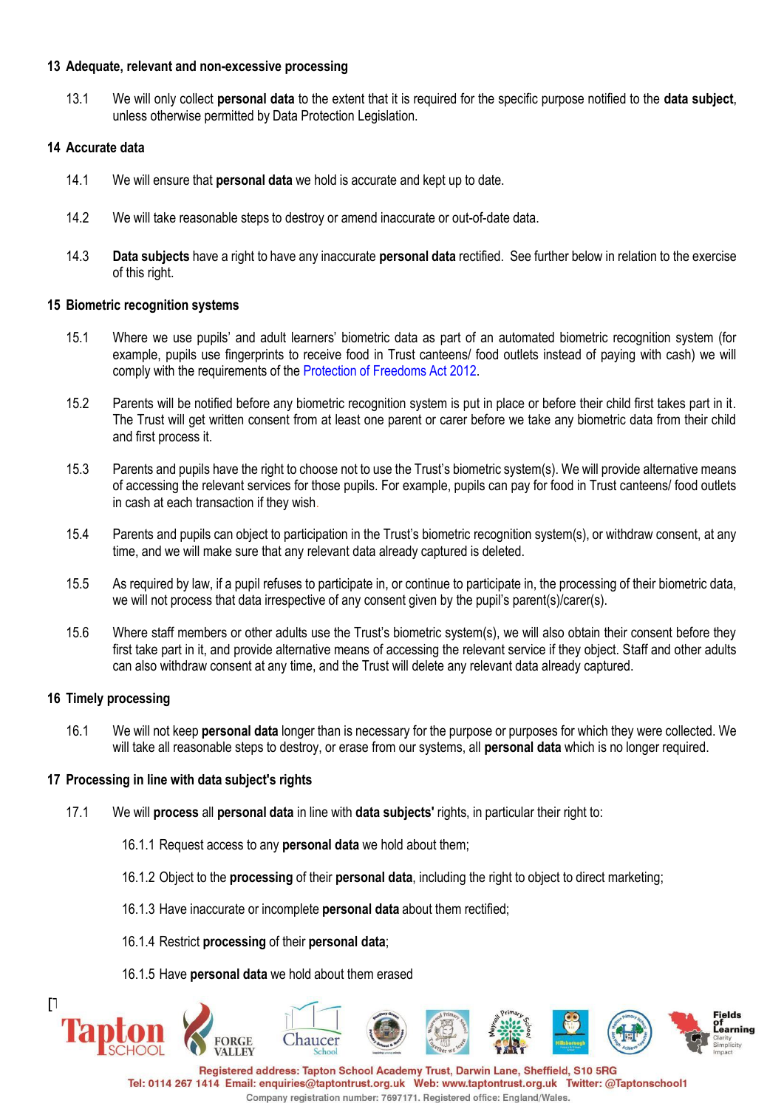#### **13 Adequate, relevant and non-excessive processing**

13.1 We will only collect **personal data** to the extent that it is required for the specific purpose notified to the **data subject**, unless otherwise permitted by Data Protection Legislation.

## **14 Accurate data**

- 14.1 We will ensure that **personal data** we hold is accurate and kept up to date.
- 14.2 We will take reasonable steps to destroy or amend inaccurate or out-of-date data.
- 14.3 **Data subjects** have a right to have any inaccurate **personal data** rectified. See further below in relation to the exercise of this right.

#### **15 Biometric recognition systems**

- 15.1 Where we use pupils' and adult learners' biometric data as part of an automated biometric recognition system (for example, pupils use fingerprints to receive food in Trust canteens/ food outlets instead of paying with cash) we will comply with the requirements of the Protection of Freedoms Act 2012.
- 15.2 Parents will be notified before any biometric recognition system is put in place or before their child first takes part in it. The Trust will get written consent from at least one parent or carer before we take any biometric data from their child and first process it.
- 15.3 Parents and pupils have the right to choose not to use the Trust's biometric system(s). We will provide alternative means of accessing the relevant services for those pupils. For example, pupils can pay for food in Trust canteens/ food outlets in cash at each transaction if they wish.
- 15.4 Parents and pupils can object to participation in the Trust's biometric recognition system(s), or withdraw consent, at any time, and we will make sure that any relevant data already captured is deleted.
- 15.5 As required by law, if a pupil refuses to participate in, or continue to participate in, the processing of their biometric data, we will not process that data irrespective of any consent given by the pupil's parent(s)/carer(s).
- 15.6 Where staff members or other adults use the Trust's biometric system(s), we will also obtain their consent before they first take part in it, and provide alternative means of accessing the relevant service if they object. Staff and other adults can also withdraw consent at any time, and the Trust will delete any relevant data already captured.

## **16 Timely processing**

16.1 We will not keep **personal data** longer than is necessary for the purpose or purposes for which they were collected. We will take all reasonable steps to destroy, or erase from our systems, all **personal data** which is no longer required.

## **17 Processing in line with data subject's rights**

- 17.1 We will **process** all **personal data** in line with **data subjects'** rights, in particular their right to:
	- 16.1.1 Request access to any **personal data** we hold about them;
	- 16.1.2 Object to the **processing** of their **personal data**, including the right to object to direct marketing;
	- 16.1.3 Have inaccurate or incomplete **personal data** about them rectified;
	- 16.1.4 Restrict **processing** of their **personal data**;
	- 16.1.5 Have **personal data** we hold about them erased

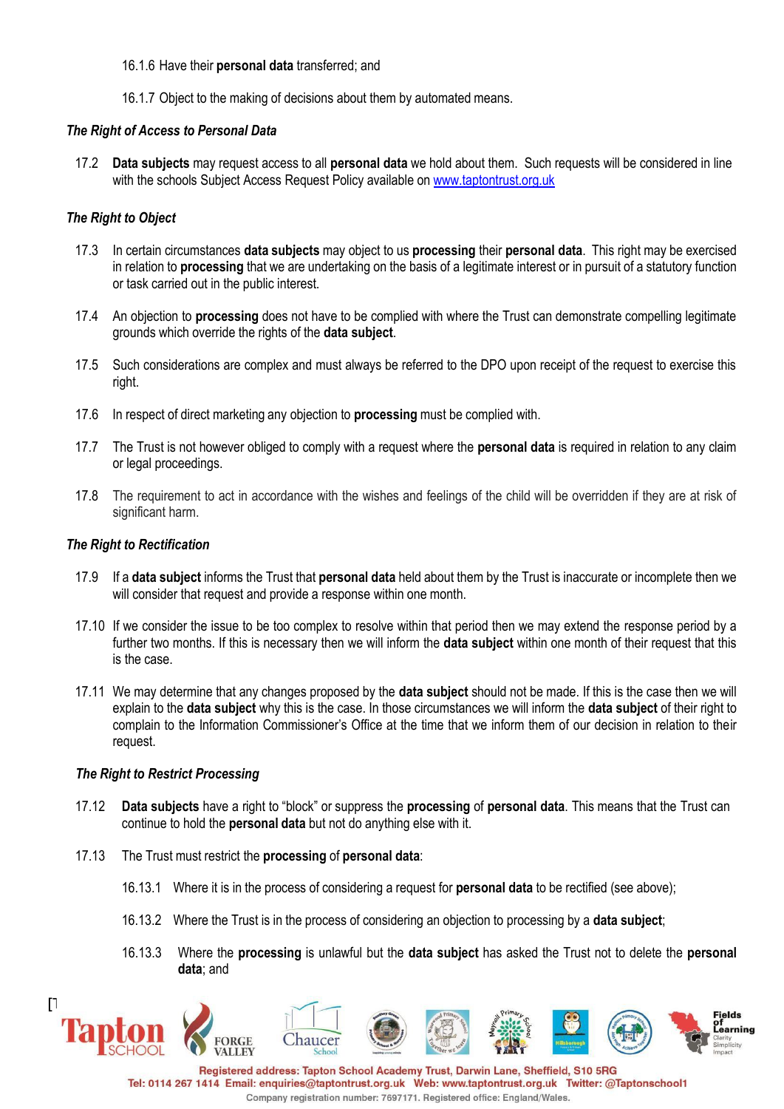#### 16.1.6 Have their **personal data** transferred; and

16.1.7 Object to the making of decisions about them by automated means.

### *The Right of Access to Personal Data*

17.2 **Data subjects** may request access to all **personal data** we hold about them. Such requests will be considered in line with the schools Subject Access Request Policy available on [www.taptontrust.org.uk](http://www.taptontrust.org.uk/)

## *The Right to Object*

- 17.3 In certain circumstances **data subjects** may object to us **processing** their **personal data**. This right may be exercised in relation to **processing** that we are undertaking on the basis of a legitimate interest or in pursuit of a statutory function or task carried out in the public interest.
- 17.4 An objection to **processing** does not have to be complied with where the Trust can demonstrate compelling legitimate grounds which override the rights of the **data subject**.
- 17.5 Such considerations are complex and must always be referred to the DPO upon receipt of the request to exercise this right.
- 17.6 In respect of direct marketing any objection to **processing** must be complied with.
- 17.7 The Trust is not however obliged to comply with a request where the **personal data** is required in relation to any claim or legal proceedings.
- 17.8 The requirement to act in accordance with the wishes and feelings of the child will be overridden if they are at risk of significant harm.

#### *The Right to Rectification*

- 17.9 If a **data subject** informs the Trust that **personal data** held about them by the Trust is inaccurate or incomplete then we will consider that request and provide a response within one month.
- 17.10 If we consider the issue to be too complex to resolve within that period then we may extend the response period by a further two months. If this is necessary then we will inform the **data subject** within one month of their request that this is the case.
- 17.11 We may determine that any changes proposed by the **data subject** should not be made. If this is the case then we will explain to the **data subject** why this is the case. In those circumstances we will inform the **data subject** of their right to complain to the Information Commissioner's Office at the time that we inform them of our decision in relation to their request.

#### *The Right to Restrict Processing*

- 17.12 **Data subjects** have a right to "block" or suppress the **processing** of **personal data**. This means that the Trust can continue to hold the **personal data** but not do anything else with it.
- 17.13 The Trust must restrict the **processing** of **personal data**:
	- 16.13.1 Where it is in the process of considering a request for **personal data** to be rectified (see above);
	- 16.13.2 Where the Trust is in the process of considering an objection to processing by a **data subject**;
	- 16.13.3 Where the **processing** is unlawful but the **data subject** has asked the Trust not to delete the **personal data**; and

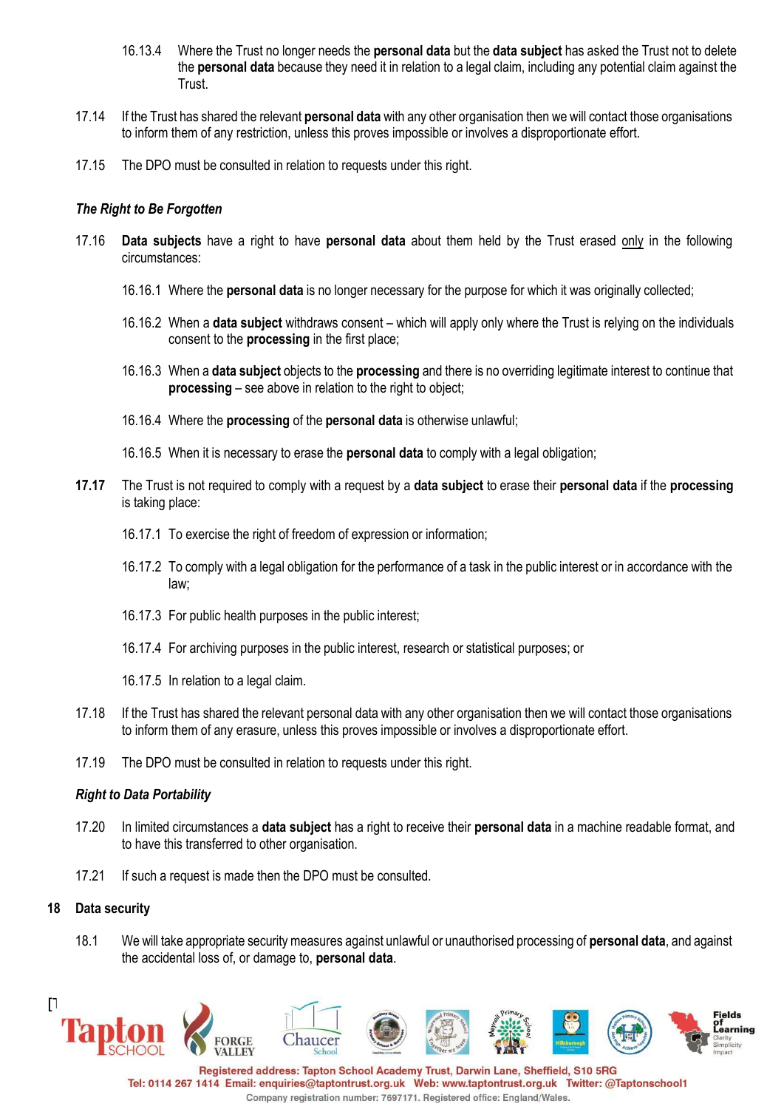- 16.13.4 Where the Trust no longer needs the **personal data** but the **data subject** has asked the Trust not to delete the **personal data** because they need it in relation to a legal claim, including any potential claim against the Trust.
- 17.14 If the Trust has shared the relevant **personal data** with any other organisation then we will contact those organisations to inform them of any restriction, unless this proves impossible or involves a disproportionate effort.
- 17.15 The DPO must be consulted in relation to requests under this right.

## *The Right to Be Forgotten*

- 17.16 **Data subjects** have a right to have **personal data** about them held by the Trust erased only in the following circumstances:
	- 16.16.1 Where the **personal data** is no longer necessary for the purpose for which it was originally collected;
	- 16.16.2 When a **data subject** withdraws consent which will apply only where the Trust is relying on the individuals consent to the **processing** in the first place;
	- 16.16.3 When a **data subject** objects to the **processing** and there is no overriding legitimate interest to continue that **processing** – see above in relation to the right to object;
	- 16.16.4 Where the **processing** of the **personal data** is otherwise unlawful;
	- 16.16.5 When it is necessary to erase the **personal data** to comply with a legal obligation;
- **17.17** The Trust is not required to comply with a request by a **data subject** to erase their **personal data** if the **processing** is taking place:
	- 16.17.1 To exercise the right of freedom of expression or information;
	- 16.17.2 To comply with a legal obligation for the performance of a task in the public interest or in accordance with the law;
	- 16.17.3 For public health purposes in the public interest;
	- 16.17.4 For archiving purposes in the public interest, research or statistical purposes; or
	- 16.17.5 In relation to a legal claim.
- 17.18 If the Trust has shared the relevant personal data with any other organisation then we will contact those organisations to inform them of any erasure, unless this proves impossible or involves a disproportionate effort.
- 17.19 The DPO must be consulted in relation to requests under this right.

## *Right to Data Portability*

- 17.20 In limited circumstances a **data subject** has a right to receive their **personal data** in a machine readable format, and to have this transferred to other organisation.
- 17.21 If such a request is made then the DPO must be consulted.

## **18 Data security**

18.1 We will take appropriate security measures against unlawful or unauthorised processing of **personal data**, and against the accidental loss of, or damage to, **personal data**.



Company registration number: 7697171. Registered office: England/Wales.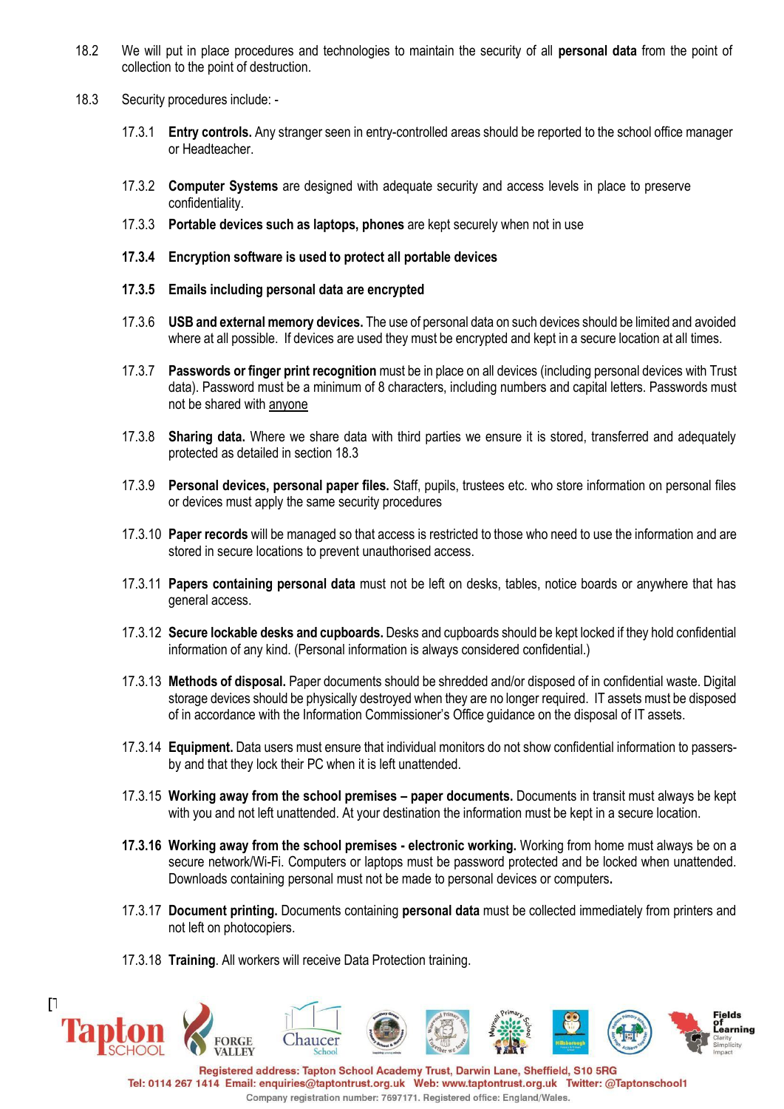- 18.2 We will put in place procedures and technologies to maintain the security of all **personal data** from the point of collection to the point of destruction.
- 18.3 Security procedures include:
	- 17.3.1 **Entry controls.** Any stranger seen in entry-controlled areas should be reported to the school office manager or Headteacher.
	- 17.3.2 **Computer Systems** are designed with adequate security and access levels in place to preserve confidentiality.
	- 17.3.3 **Portable devices such as laptops, phones** are kept securely when not in use
	- **17.3.4 Encryption software is used to protect all portable devices**
	- **17.3.5 Emails including personal data are encrypted**
	- 17.3.6 **USB and external memory devices.** The use of personal data on such devices should be limited and avoided where at all possible. If devices are used they must be encrypted and kept in a secure location at all times.
	- 17.3.7 **Passwords or finger print recognition** must be in place on all devices (including personal devices with Trust data). Password must be a minimum of 8 characters, including numbers and capital letters. Passwords must not be shared with anyone
	- 17.3.8 **Sharing data.** Where we share data with third parties we ensure it is stored, transferred and adequately protected as detailed in section 18.3
	- 17.3.9 **Personal devices, personal paper files.** Staff, pupils, trustees etc. who store information on personal files or devices must apply the same security procedures
	- 17.3.10 **Paper records** will be managed so that access is restricted to those who need to use the information and are stored in secure locations to prevent unauthorised access.
	- 17.3.11 **Papers containing personal data** must not be left on desks, tables, notice boards or anywhere that has general access.
	- 17.3.12 **Secure lockable desks and cupboards.** Desks and cupboards should be kept locked if they hold confidential information of any kind. (Personal information is always considered confidential.)
	- 17.3.13 **Methods of disposal.** Paper documents should be shredded and/or disposed of in confidential waste. Digital storage devices should be physically destroyed when they are no longer required. IT assets must be disposed of in accordance with the Information Commissioner's Office guidance on the disposal of IT assets.
	- 17.3.14 **Equipment.** Data users must ensure that individual monitors do not show confidential information to passersby and that they lock their PC when it is left unattended.
	- 17.3.15 **Working away from the school premises – paper documents.** Documents in transit must always be kept with you and not left unattended. At your destination the information must be kept in a secure location.
	- **17.3.16 Working away from the school premises - electronic working.** Working from home must always be on a secure network/Wi-Fi. Computers or laptops must be password protected and be locked when unattended. Downloads containing personal must not be made to personal devices or computers**.**
	- 17.3.17 **Document printing.** Documents containing **personal data** must be collected immediately from printers and not left on photocopiers.
	- 17.3.18 **Training**. All workers will receive Data Protection training.

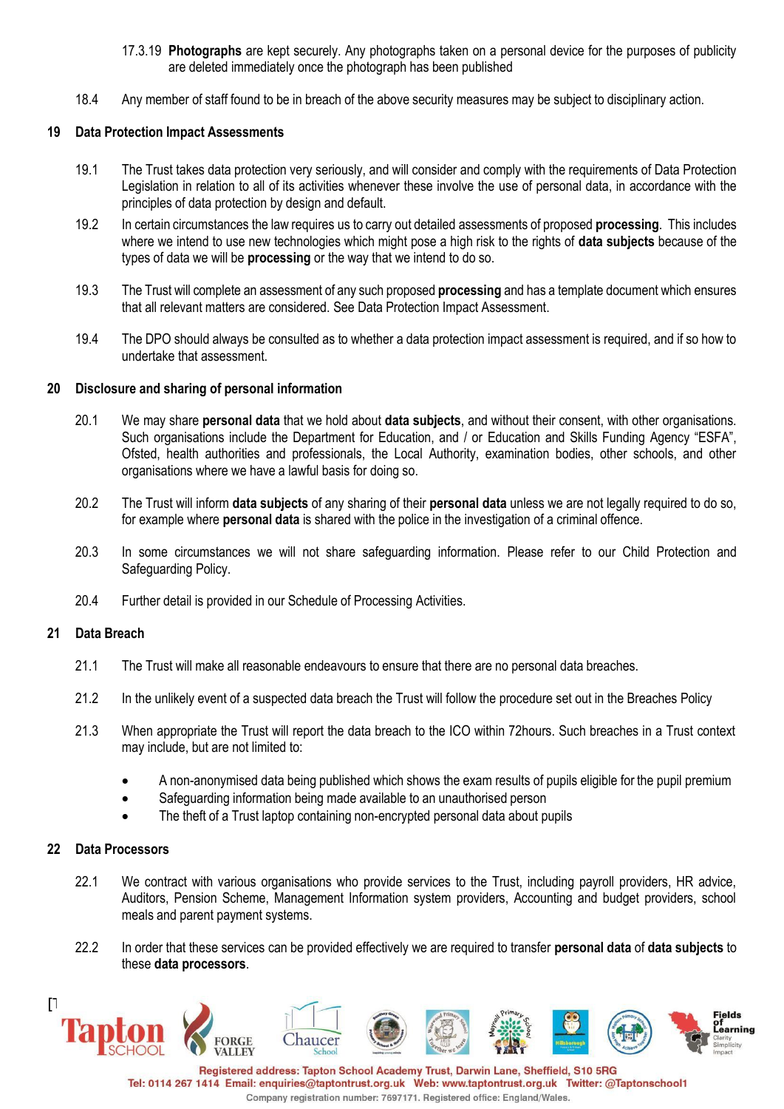- 17.3.19 **Photographs** are kept securely. Any photographs taken on a personal device for the purposes of publicity are deleted immediately once the photograph has been published
- 18.4 Any member of staff found to be in breach of the above security measures may be subject to disciplinary action.

### **19 Data Protection Impact Assessments**

- 19.1 The Trust takes data protection very seriously, and will consider and comply with the requirements of Data Protection Legislation in relation to all of its activities whenever these involve the use of personal data, in accordance with the principles of data protection by design and default.
- 19.2 In certain circumstances the law requires us to carry out detailed assessments of proposed **processing**. This includes where we intend to use new technologies which might pose a high risk to the rights of **data subjects** because of the types of data we will be **processing** or the way that we intend to do so.
- 19.3 The Trust will complete an assessment of any such proposed **processing** and has a template document which ensures that all relevant matters are considered. See Data Protection Impact Assessment.
- 19.4 The DPO should always be consulted as to whether a data protection impact assessment is required, and if so how to undertake that assessment.

#### **20 Disclosure and sharing of personal information**

- 20.1 We may share **personal data** that we hold about **data subjects**, and without their consent, with other organisations. Such organisations include the Department for Education, and / or Education and Skills Funding Agency "ESFA", Ofsted, health authorities and professionals, the Local Authority, examination bodies, other schools, and other organisations where we have a lawful basis for doing so.
- 20.2 The Trust will inform **data subjects** of any sharing of their **personal data** unless we are not legally required to do so, for example where **personal data** is shared with the police in the investigation of a criminal offence.
- 20.3 In some circumstances we will not share safeguarding information. Please refer to our Child Protection and Safeguarding Policy.
- 20.4 Further detail is provided in our Schedule of Processing Activities.

## **21 Data Breach**

- 21.1 The Trust will make all reasonable endeavours to ensure that there are no personal data breaches.
- 21.2 In the unlikely event of a suspected data breach the Trust will follow the procedure set out in the Breaches Policy
- 21.3 When appropriate the Trust will report the data breach to the ICO within 72hours. Such breaches in a Trust context may include, but are not limited to:
	- A non-anonymised data being published which shows the exam results of pupils eligible for the pupil premium
	- Safeguarding information being made available to an unauthorised person
	- The theft of a Trust laptop containing non-encrypted personal data about pupils

#### **22 Data Processors**

- 22.1 We contract with various organisations who provide services to the Trust, including payroll providers, HR advice, Auditors, Pension Scheme, Management Information system providers, Accounting and budget providers, school meals and parent payment systems.
- 22.2 In order that these services can be provided effectively we are required to transfer **personal data** of **data subjects** to these **data processors**.



Company registration number: 7697171. Registered office: England/Wales.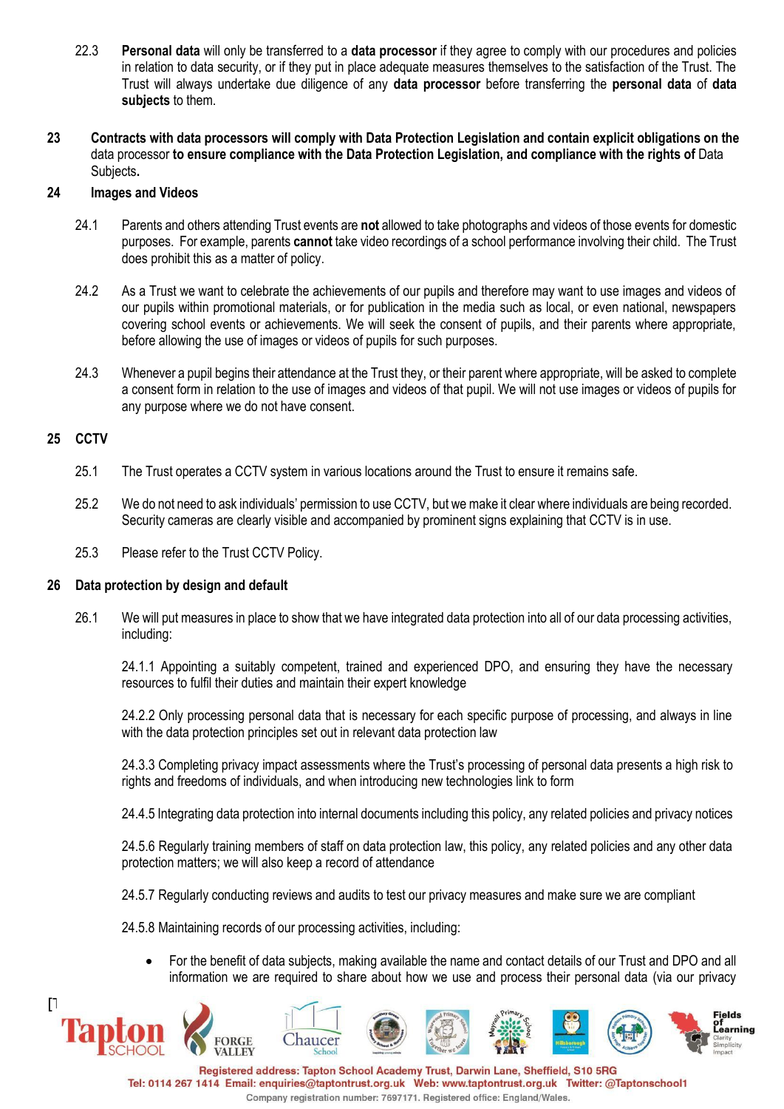- 22.3 **Personal data** will only be transferred to a **data processor** if they agree to comply with our procedures and policies in relation to data security, or if they put in place adequate measures themselves to the satisfaction of the Trust. The Trust will always undertake due diligence of any **data processor** before transferring the **personal data** of **data subjects** to them.
- **23 Contracts with data processors will comply with Data Protection Legislation and contain explicit obligations on the** data processor **to ensure compliance with the Data Protection Legislation, and compliance with the rights of** Data Subjects**.**

### **24 Images and Videos**

- 24.1 Parents and others attending Trust events are **not** allowed to take photographs and videos of those events for domestic purposes. For example, parents **cannot** take video recordings of a school performance involving their child. The Trust does prohibit this as a matter of policy.
- 24.2 As a Trust we want to celebrate the achievements of our pupils and therefore may want to use images and videos of our pupils within promotional materials, or for publication in the media such as local, or even national, newspapers covering school events or achievements. We will seek the consent of pupils, and their parents where appropriate, before allowing the use of images or videos of pupils for such purposes.
- 24.3 Whenever a pupil begins their attendance at the Trust they, or their parent where appropriate, will be asked to complete a consent form in relation to the use of images and videos of that pupil. We will not use images or videos of pupils for any purpose where we do not have consent.

#### **25 CCTV**

- 25.1 The Trust operates a CCTV system in various locations around the Trust to ensure it remains safe.
- 25.2 We do not need to ask individuals' permission to use CCTV, but we make it clear where individuals are being recorded. Security cameras are clearly visible and accompanied by prominent signs explaining that CCTV is in use.
- 25.3 Please refer to the Trust CCTV Policy.

## **26 Data protection by design and default**

26.1 We will put measures in place to show that we have integrated data protection into all of our data processing activities, including:

24.1.1 Appointing a suitably competent, trained and experienced DPO, and ensuring they have the necessary resources to fulfil their duties and maintain their expert knowledge

24.2.2 Only processing personal data that is necessary for each specific purpose of processing, and always in line with the data protection principles set out in relevant data protection law

24.3.3 Completing privacy impact assessments where the Trust's processing of personal data presents a high risk to rights and freedoms of individuals, and when introducing new technologies link to form

24.4.5 Integrating data protection into internal documents including this policy, any related policies and privacy notices

24.5.6 Regularly training members of staff on data protection law, this policy, any related policies and any other data protection matters; we will also keep a record of attendance

24.5.7 Regularly conducting reviews and audits to test our privacy measures and make sure we are compliant

24.5.8 Maintaining records of our processing activities, including:

• For the benefit of data subjects, making available the name and contact details of our Trust and DPO and all information we are required to share about how we use and process their personal data (via our privacy

Company registration number: 7697171. Registered office: England/Wales.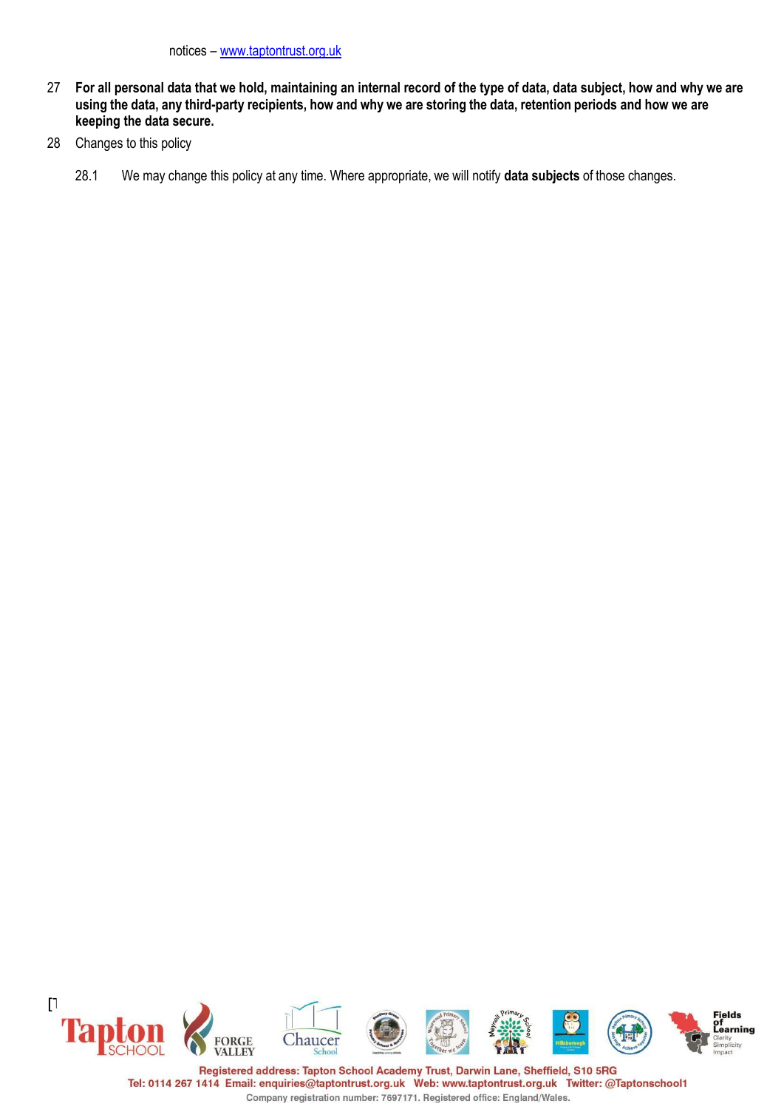- 27 **For all personal data that we hold, maintaining an internal record of the type of data, data subject, how and why we are** using the data, any third-party recipients, how and why we are storing the data, retention periods and how we are **keeping the data secure.**
- 28 Changes to this policy
	- 28.1 We may change this policy at any time. Where appropriate, we will notify **data subjects** of those changes.